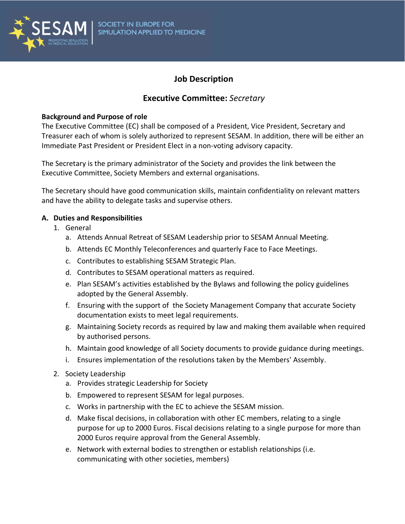

# **Job Description**

## **Executive Committee:** *Secretary*

#### **Background and Purpose of role**

The Executive Committee (EC) shall be composed of a President, Vice President, Secretary and Treasurer each of whom is solely authorized to represent SESAM. In addition, there will be either an Immediate Past President or President Elect in a non-voting advisory capacity.

The Secretary is the primary administrator of the Society and provides the link between the Executive Committee, Society Members and external organisations.

The Secretary should have good communication skills, maintain confidentiality on relevant matters and have the ability to delegate tasks and supervise others.

#### **A. Duties and Responsibilities**

- 1. General
	- a. Attends Annual Retreat of SESAM Leadership prior to SESAM Annual Meeting.
	- b. Attends EC Monthly Teleconferences and quarterly Face to Face Meetings.
	- c. Contributes to establishing SESAM Strategic Plan.
	- d. Contributes to SESAM operational matters as required.
	- e. Plan SESAM's activities established by the Bylaws and following the policy guidelines adopted by the General Assembly.
	- f. Ensuring with the support of the Society Management Company that accurate Society documentation exists to meet legal requirements.
	- g. Maintaining Society records as required by law and making them available when required by authorised persons.
	- h. Maintain good knowledge of all Society documents to provide guidance during meetings.
	- i. Ensures implementation of the resolutions taken by the Members' Assembly.
- 2. Society Leadership
	- a. Provides strategic Leadership for Society
	- b. Empowered to represent SESAM for legal purposes.
	- c. Works in partnership with the EC to achieve the SESAM mission.
	- d. Make fiscal decisions, in collaboration with other EC members, relating to a single purpose for up to 2000 Euros. Fiscal decisions relating to a single purpose for more than 2000 Euros require approval from the General Assembly.
	- e. Network with external bodies to strengthen or establish relationships (i.e. communicating with other societies, members)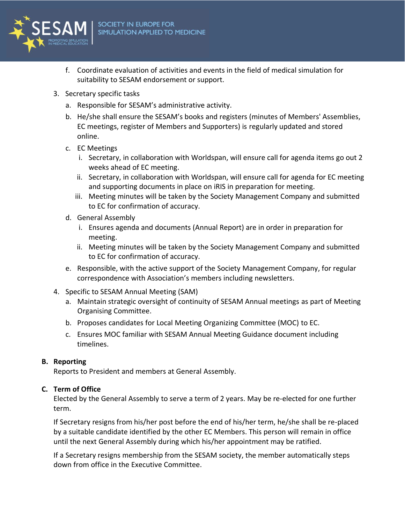

- f. Coordinate evaluation of activities and events in the field of medical simulation for suitability to SESAM endorsement or support.
- 3. Secretary specific tasks
	- a. Responsible for SESAM's administrative activity.
	- b. He/she shall ensure the SESAM's books and registers (minutes of Members' Assemblies, EC meetings, register of Members and Supporters) is regularly updated and stored online.
	- c. EC Meetings
		- i. Secretary, in collaboration with Worldspan, will ensure call for agenda items go out 2 weeks ahead of EC meeting.
		- ii. Secretary, in collaboration with Worldspan, will ensure call for agenda for EC meeting and supporting documents in place on iRIS in preparation for meeting.
		- iii. Meeting minutes will be taken by the Society Management Company and submitted to EC for confirmation of accuracy.
	- d. General Assembly
		- i. Ensures agenda and documents (Annual Report) are in order in preparation for meeting.
		- ii. Meeting minutes will be taken by the Society Management Company and submitted to EC for confirmation of accuracy.
	- e. Responsible, with the active support of the Society Management Company, for regular correspondence with Association's members including newsletters.
- 4. Specific to SESAM Annual Meeting (SAM)
	- a. Maintain strategic oversight of continuity of SESAM Annual meetings as part of Meeting Organising Committee.
	- b. Proposes candidates for Local Meeting Organizing Committee (MOC) to EC.
	- c. Ensures MOC familiar with SESAM Annual Meeting Guidance document including timelines.

## **B. Reporting**

Reports to President and members at General Assembly.

## **C. Term of Office**

Elected by the General Assembly to serve a term of 2 years. May be re-elected for one further term.

If Secretary resigns from his/her post before the end of his/her term, he/she shall be re-placed by a suitable candidate identified by the other EC Members. This person will remain in office until the next General Assembly during which his/her appointment may be ratified.

If a Secretary resigns membership from the SESAM society, the member automatically steps down from office in the Executive Committee.